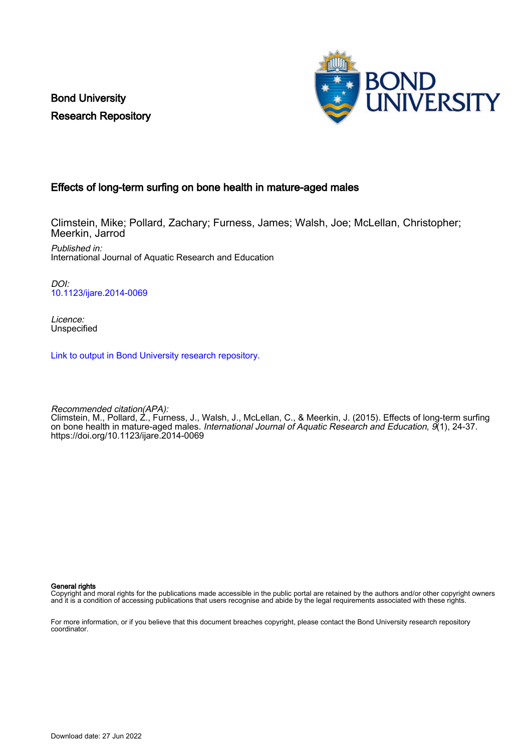Bond University Research Repository



# Effects of long-term surfing on bone health in mature-aged males

Climstein, Mike; Pollard, Zachary; Furness, James; Walsh, Joe; McLellan, Christopher; Meerkin, Jarrod Published in:

International Journal of Aquatic Research and Education

DOI: [10.1123/ijare.2014-0069](https://doi.org/10.1123/ijare.2014-0069)

Licence: Unspecified

[Link to output in Bond University research repository.](https://research.bond.edu.au/en/publications/f19c4e61-90d1-4cb4-8d81-6f657999a219)

Recommended citation(APA): Climstein, M., Pollard, Z., Furness, J., Walsh, J., McLellan, C., & Meerkin, J. (2015). Effects of long-term surfing on bone health in mature-aged males. *International Journal of Aquatic Research and Education, 9*(1), 24-37. <https://doi.org/10.1123/ijare.2014-0069>

General rights

Copyright and moral rights for the publications made accessible in the public portal are retained by the authors and/or other copyright owners and it is a condition of accessing publications that users recognise and abide by the legal requirements associated with these rights.

For more information, or if you believe that this document breaches copyright, please contact the Bond University research repository coordinator.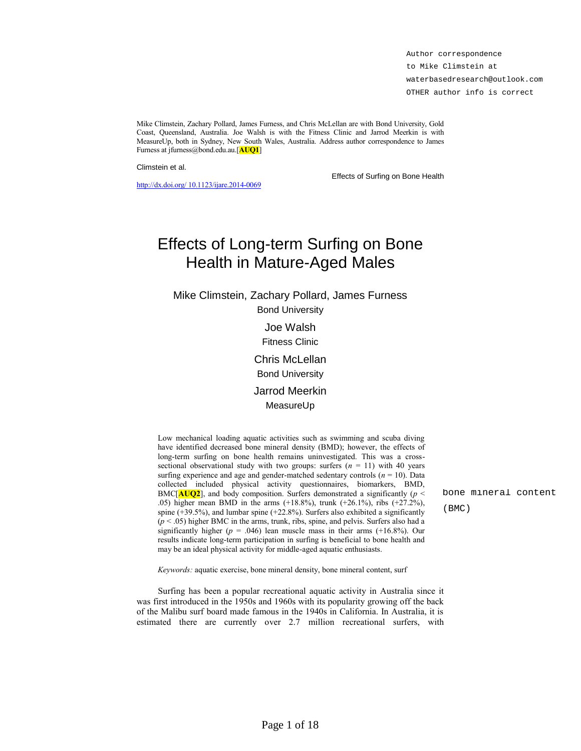Author correspondence to Mike Climstein at waterbasedresearch@outlook.com OTHER author info is correct

Mike Climstein, Zachary Pollard, James Furness, and Chris McLellan are with Bond University, Gold Coast, Queensland, Australia. Joe Walsh is with the Fitness Clinic and Jarrod Meerkin is with MeasureUp, both in Sydney, New South Wales, Australia. Address author correspondence to James Furness at jfurness@bond.edu.au.[**AUQ1**]

Climstein et al.

[http://dx.doi.org/ 10.1123/ijare.2014-0069](http://dx.doi.org/10.1123/ijare.2014-0069)

Effects of Surfing on Bone Health

# Effects of Long-term Surfing on Bone Health in Mature-Aged Males

Mike Climstein, Zachary Pollard, James Furness Bond University

> Joe Walsh Fitness Clinic Chris McLellan

Bond University

Jarrod Meerkin MeasureUp

Low mechanical loading aquatic activities such as swimming and scuba diving have identified decreased bone mineral density (BMD); however, the effects of long-term surfing on bone health remains uninvestigated. This was a crosssectional observational study with two groups: surfers  $(n = 11)$  with 40 years surfing experience and age and gender-matched sedentary controls  $(n = 10)$ . Data collected included physical activity questionnaires, biomarkers, BMD, BMC[ $\text{AUQ2}$ ], and body composition. Surfers demonstrated a significantly ( $p <$ .05) higher mean BMD in the arms (+18.8%), trunk (+26.1%), ribs (+27.2%), spine (+39.5%), and lumbar spine (+22.8%). Surfers also exhibited a significantly (*p* < .05) higher BMC in the arms, trunk, ribs, spine, and pelvis. Surfers also had a significantly higher ( $p = .046$ ) lean muscle mass in their arms (+16.8%). Our results indicate long-term participation in surfing is beneficial to bone health and may be an ideal physical activity for middle-aged aquatic enthusiasts.

bone mineral content (BMC)

*Keywords:* aquatic exercise, bone mineral density, bone mineral content, surf

Surfing has been a popular recreational aquatic activity in Australia since it was first introduced in the 1950s and 1960s with its popularity growing off the back of the Malibu surf board made famous in the 1940s in California. In Australia, it is estimated there are currently over 2.7 million recreational surfers, with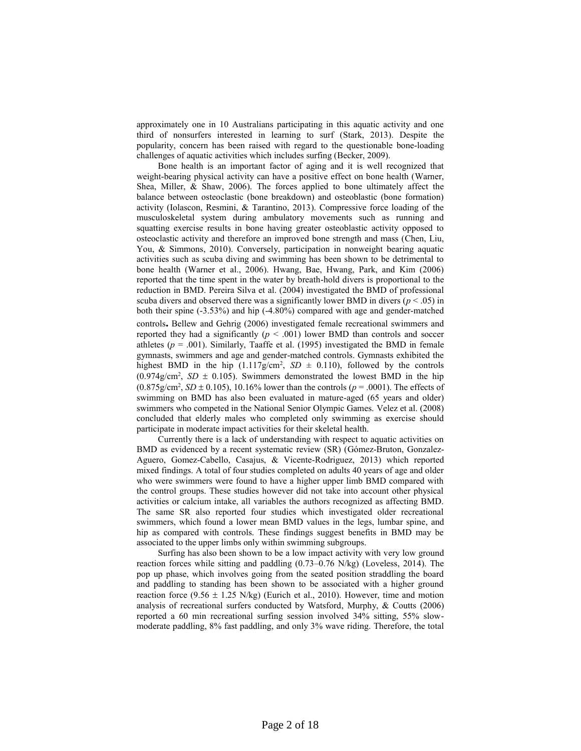approximately one in 10 Australians participating in this aquatic activity and one third of nonsurfers interested in learning to surf (Stark, 2013). Despite the popularity, concern has been raised with regard to the questionable bone-loading challenges of aquatic activities which includes surfing (Becker, 2009).

Bone health is an important factor of aging and it is well recognized that weight-bearing physical activity can have a positive effect on bone health (Warner, Shea, Miller, & Shaw, 2006). The forces applied to bone ultimately affect the balance between osteoclastic (bone breakdown) and osteoblastic (bone formation) activity (Iolascon, Resmini, & Tarantino, 2013). Compressive force loading of the musculoskeletal system during ambulatory movements such as running and squatting exercise results in bone having greater osteoblastic activity opposed to osteoclastic activity and therefore an improved bone strength and mass (Chen, Liu, You, & Simmons, 2010). Conversely, participation in nonweight bearing aquatic activities such as scuba diving and swimming has been shown to be detrimental to bone health (Warner et al., 2006). Hwang, Bae, Hwang, Park, and Kim (2006) reported that the time spent in the water by breath-hold divers is proportional to the reduction in BMD. Pereira Silva et al. (2004) investigated the BMD of professional scuba divers and observed there was a significantly lower BMD in divers ( $p < .05$ ) in both their spine (-3.53%) and hip (-4.80%) compared with age and gender-matched controls**.** Bellew and Gehrig (2006) investigated female recreational swimmers and reported they had a significantly  $(p < .001)$  lower BMD than controls and soccer athletes  $(p = .001)$ . Similarly, Taaffe et al. (1995) investigated the BMD in female gymnasts, swimmers and age and gender-matched controls. Gymnasts exhibited the highest BMD in the hip  $(1.117g/cm^2, SD \pm 0.110)$ , followed by the controls  $(0.974g/cm^2, SD \pm 0.105)$ . Swimmers demonstrated the lowest BMD in the hip  $(0.875g/cm^2, SD \pm 0.105)$ , 10.16% lower than the controls ( $p = .0001$ ). The effects of swimming on BMD has also been evaluated in mature-aged (65 years and older) swimmers who competed in the National Senior Olympic Games. Velez et al. (2008) concluded that elderly males who completed only swimming as exercise should participate in moderate impact activities for their skeletal health.

Currently there is a lack of understanding with respect to aquatic activities on BMD as evidenced by a recent systematic review (SR) (Gómez-Bruton, Gonzalez-Aguero, Gomez-Cabello, Casajus, & Vicente-Rodriguez, 2013) which reported mixed findings. A total of four studies completed on adults 40 years of age and older who were swimmers were found to have a higher upper limb BMD compared with the control groups. These studies however did not take into account other physical activities or calcium intake, all variables the authors recognized as affecting BMD. The same SR also reported four studies which investigated older recreational swimmers, which found a lower mean BMD values in the legs, lumbar spine, and hip as compared with controls. These findings suggest benefits in BMD may be associated to the upper limbs only within swimming subgroups.

Surfing has also been shown to be a low impact activity with very low ground reaction forces while sitting and paddling (0.73–0.76 N/kg) (Loveless, 2014). The pop up phase, which involves going from the seated position straddling the board and paddling to standing has been shown to be associated with a higher ground reaction force (9.56  $\pm$  1.25 N/kg) (Eurich et al., 2010). However, time and motion analysis of recreational surfers conducted by Watsford, Murphy, & Coutts (2006) reported a 60 min recreational surfing session involved 34% sitting, 55% slowmoderate paddling, 8% fast paddling, and only 3% wave riding. Therefore, the total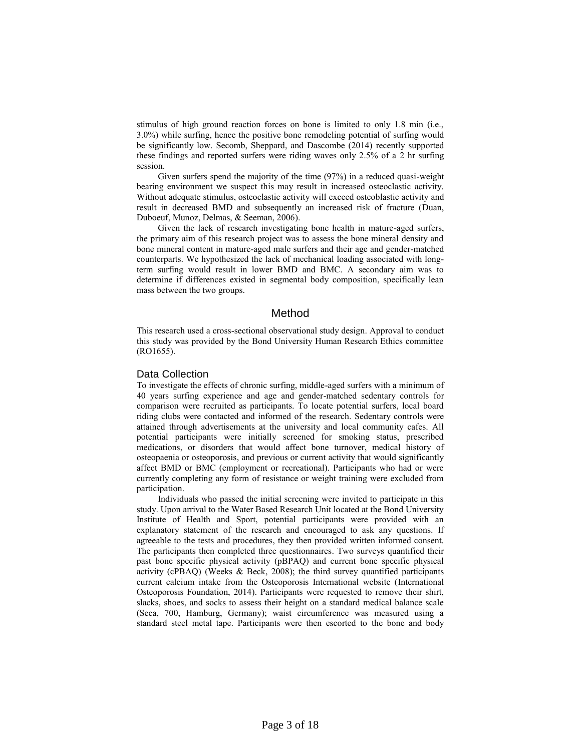stimulus of high ground reaction forces on bone is limited to only 1.8 min (i.e., 3.0%) while surfing, hence the positive bone remodeling potential of surfing would be significantly low. Secomb, Sheppard, and Dascombe (2014) recently supported these findings and reported surfers were riding waves only 2.5% of a 2 hr surfing session.

Given surfers spend the majority of the time (97%) in a reduced quasi-weight bearing environment we suspect this may result in increased osteoclastic activity. Without adequate stimulus, osteoclastic activity will exceed osteoblastic activity and result in decreased BMD and subsequently an increased risk of fracture (Duan, Duboeuf, Munoz, Delmas, & Seeman, 2006).

Given the lack of research investigating bone health in mature-aged surfers, the primary aim of this research project was to assess the bone mineral density and bone mineral content in mature-aged male surfers and their age and gender-matched counterparts. We hypothesized the lack of mechanical loading associated with longterm surfing would result in lower BMD and BMC. A secondary aim was to determine if differences existed in segmental body composition, specifically lean mass between the two groups.

# Method

This research used a cross-sectional observational study design. Approval to conduct this study was provided by the Bond University Human Research Ethics committee (RO1655).

#### Data Collection

To investigate the effects of chronic surfing, middle-aged surfers with a minimum of 40 years surfing experience and age and gender-matched sedentary controls for comparison were recruited as participants. To locate potential surfers, local board riding clubs were contacted and informed of the research. Sedentary controls were attained through advertisements at the university and local community cafes. All potential participants were initially screened for smoking status, prescribed medications, or disorders that would affect bone turnover, medical history of osteopaenia or osteoporosis, and previous or current activity that would significantly affect BMD or BMC (employment or recreational). Participants who had or were currently completing any form of resistance or weight training were excluded from participation.

Individuals who passed the initial screening were invited to participate in this study. Upon arrival to the Water Based Research Unit located at the Bond University Institute of Health and Sport, potential participants were provided with an explanatory statement of the research and encouraged to ask any questions. If agreeable to the tests and procedures, they then provided written informed consent. The participants then completed three questionnaires. Two surveys quantified their past bone specific physical activity (pBPAQ) and current bone specific physical activity (cPBAQ) (Weeks & Beck, 2008); the third survey quantified participants current calcium intake from the Osteoporosis International website (International Osteoporosis Foundation, 2014). Participants were requested to remove their shirt, slacks, shoes, and socks to assess their height on a standard medical balance scale (Seca, 700, Hamburg, Germany); waist circumference was measured using a standard steel metal tape. Participants were then escorted to the bone and body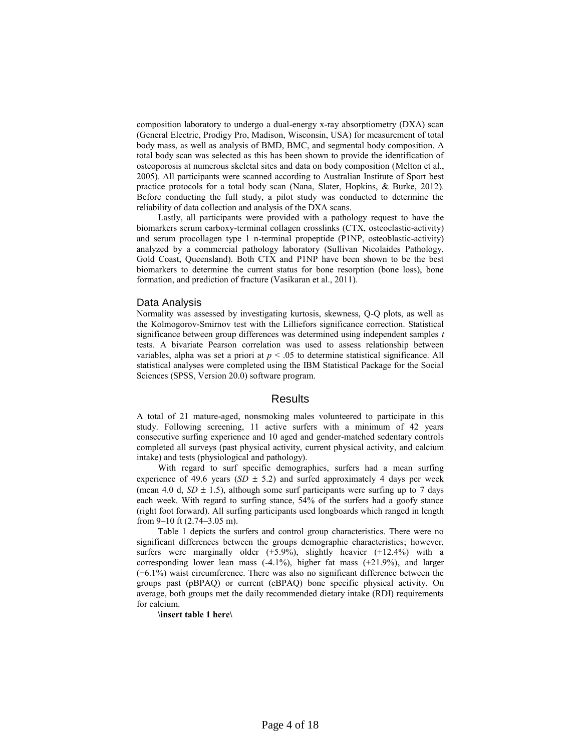composition laboratory to undergo a dual-energy x-ray absorptiometry (DXA) scan (General Electric, Prodigy Pro, Madison, Wisconsin, USA) for measurement of total body mass, as well as analysis of BMD, BMC, and segmental body composition. A total body scan was selected as this has been shown to provide the identification of osteoporosis at numerous skeletal sites and data on body composition (Melton et al., 2005). All participants were scanned according to Australian Institute of Sport best practice protocols for a total body scan (Nana, Slater, Hopkins, & Burke, 2012). Before conducting the full study, a pilot study was conducted to determine the reliability of data collection and analysis of the DXA scans.

Lastly, all participants were provided with a pathology request to have the biomarkers serum carboxy-terminal collagen crosslinks (CTX, osteoclastic-activity) and serum procollagen type 1 n-terminal propeptide (P1NP, osteoblastic-activity) analyzed by a commercial pathology laboratory (Sullivan Nicolaides Pathology, Gold Coast, Queensland). Both CTX and P1NP have been shown to be the best biomarkers to determine the current status for bone resorption (bone loss), bone formation, and prediction of fracture (Vasikaran et al., 2011).

#### Data Analysis

Normality was assessed by investigating kurtosis, skewness, Q-Q plots, as well as the Kolmogorov-Smirnov test with the Lilliefors significance correction. Statistical significance between group differences was determined using independent samples *t* tests. A bivariate Pearson correlation was used to assess relationship between variables, alpha was set a priori at  $p < .05$  to determine statistical significance. All statistical analyses were completed using the IBM Statistical Package for the Social Sciences (SPSS, Version 20.0) software program.

## **Results**

A total of 21 mature-aged, nonsmoking males volunteered to participate in this study. Following screening, 11 active surfers with a minimum of 42 years consecutive surfing experience and 10 aged and gender-matched sedentary controls completed all surveys (past physical activity, current physical activity, and calcium intake) and tests (physiological and pathology).

With regard to surf specific demographics, surfers had a mean surfing experience of 49.6 years ( $SD \pm 5.2$ ) and surfed approximately 4 days per week (mean 4.0 d,  $SD \pm 1.5$ ), although some surf participants were surfing up to 7 days each week. With regard to surfing stance, 54% of the surfers had a goofy stance (right foot forward). All surfing participants used longboards which ranged in length from 9–10 ft (2.74–3.05 m).

Table 1 depicts the surfers and control group characteristics. There were no significant differences between the groups demographic characteristics; however, surfers were marginally older (+5.9%), slightly heavier (+12.4%) with a corresponding lower lean mass (-4.1%), higher fat mass (+21.9%), and larger (+6.1%) waist circumference. There was also no significant difference between the groups past (pBPAQ) or current (cBPAQ) bone specific physical activity. On average, both groups met the daily recommended dietary intake (RDI) requirements for calcium.

#### **\insert table 1 here\**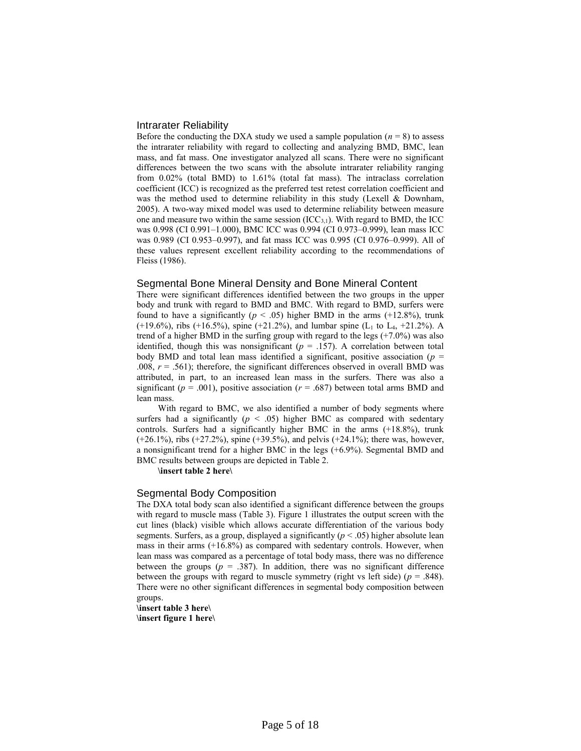#### Intrarater Reliability

Before the conducting the DXA study we used a sample population  $(n = 8)$  to assess the intrarater reliability with regard to collecting and analyzing BMD, BMC, lean mass, and fat mass. One investigator analyzed all scans. There were no significant differences between the two scans with the absolute intrarater reliability ranging from 0.02% (total BMD) to 1.61% (total fat mass). The intraclass correlation coefficient (ICC) is recognized as the preferred test retest correlation coefficient and was the method used to determine reliability in this study (Lexell & Downham, 2005). A two-way mixed model was used to determine reliability between measure one and measure two within the same session  $(ICC_{3,1})$ . With regard to BMD, the ICC was 0.998 (CI 0.991–1.000), BMC ICC was 0.994 (CI 0.973–0.999), lean mass ICC was 0.989 (CI 0.953–0.997), and fat mass ICC was 0.995 (CI 0.976–0.999). All of these values represent excellent reliability according to the recommendations of Fleiss (1986).

#### Segmental Bone Mineral Density and Bone Mineral Content

There were significant differences identified between the two groups in the upper body and trunk with regard to BMD and BMC. With regard to BMD, surfers were found to have a significantly ( $p < .05$ ) higher BMD in the arms (+12.8%), trunk (+19.6%), ribs (+16.5%), spine (+21.2%), and lumbar spine (L<sub>1</sub> to L<sub>4</sub>, +21.2%). A trend of a higher BMD in the surfing group with regard to the legs (+7.0%) was also identified, though this was nonsignificant ( $p = .157$ ). A correlation between total body BMD and total lean mass identified a significant, positive association ( $p =$ .008,  $r = .561$ ); therefore, the significant differences observed in overall BMD was attributed, in part, to an increased lean mass in the surfers. There was also a significant ( $p = .001$ ), positive association ( $r = .687$ ) between total arms BMD and lean mass.

With regard to BMC, we also identified a number of body segments where surfers had a significantly  $(p < .05)$  higher BMC as compared with sedentary controls. Surfers had a significantly higher BMC in the arms (+18.8%), trunk (+26.1%), ribs (+27.2%), spine (+39.5%), and pelvis (+24.1%); there was, however, a nonsignificant trend for a higher BMC in the legs (+6.9%). Segmental BMD and BMC results between groups are depicted in Table 2.

**\insert table 2 here\**

#### Segmental Body Composition

The DXA total body scan also identified a significant difference between the groups with regard to muscle mass (Table 3). Figure 1 illustrates the output screen with the cut lines (black) visible which allows accurate differentiation of the various body segments. Surfers, as a group, displayed a significantly  $(p < .05)$  higher absolute lean mass in their arms (+16.8%) as compared with sedentary controls. However, when lean mass was compared as a percentage of total body mass, there was no difference between the groups  $(p = .387)$ . In addition, there was no significant difference between the groups with regard to muscle symmetry (right vs left side)  $(p = .848)$ . There were no other significant differences in segmental body composition between groups.

**\insert table 3 here\ \insert figure 1 here\**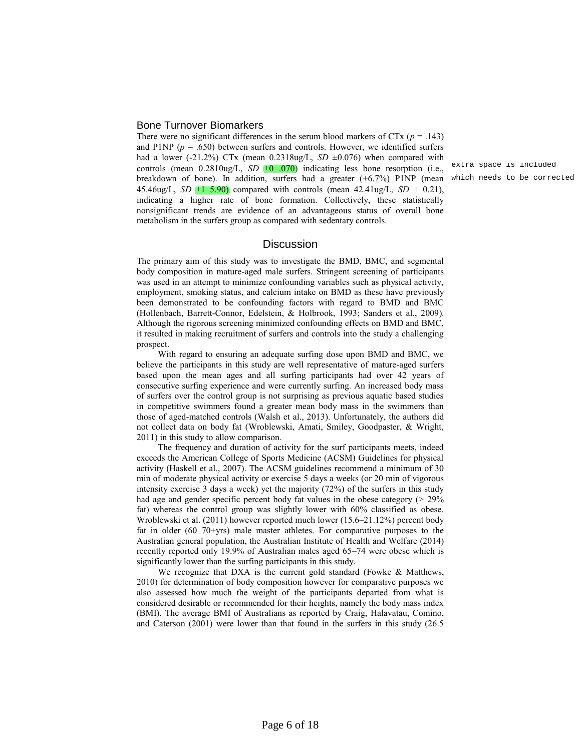#### Bone Turnover Biomarkers

There were no significant differences in the serum blood markers of  $CTx$  ( $p = .143$ ) and P1NP  $(p = .650)$  between surfers and controls. However, we identified surfers had a lower (-21.2%) CTx (mean  $0.2318\mu\text{g/L}$ , *SD*  $\pm 0.076$ ) when compared with controls (mean  $0.2810$ ug/L,  $SD \pm 0.070$ ) indicating less bone resorption (i.e., breakdown of bone). In addition, surfers had a greater (+6.7%) P1NP (mean which needs to be corrected45.46ug/L, *SD*  $\pm 1$  5.90) compared with controls (mean 42.41ug/L, *SD*  $\pm$  0.21), indicating a higher rate of bone formation. Collectively, these statistically nonsignificant trends are evidence of an advantageous status of overall bone metabolism in the surfers group as compared with sedentary controls.

# **Discussion**

The primary aim of this study was to investigate the BMD, BMC, and segmental body composition in mature-aged male surfers. Stringent screening of participants was used in an attempt to minimize confounding variables such as physical activity, employment, smoking status, and calcium intake on BMD as these have previously been demonstrated to be confounding factors with regard to BMD and BMC (Hollenbach, Barrett-Connor, Edelstein, & Holbrook, 1993; Sanders et al., 2009). Although the rigorous screening minimized confounding effects on BMD and BMC, it resulted in making recruitment of surfers and controls into the study a challenging prospect.

With regard to ensuring an adequate surfing dose upon BMD and BMC, we believe the participants in this study are well representative of mature-aged surfers based upon the mean ages and all surfing participants had over 42 years of consecutive surfing experience and were currently surfing. An increased body mass of surfers over the control group is not surprising as previous aquatic based studies in competitive swimmers found a greater mean body mass in the swimmers than those of aged-matched controls (Walsh et al., 2013). Unfortunately, the authors did not collect data on body fat (Wroblewski, Amati, Smiley, Goodpaster, & Wright, 2011) in this study to allow comparison.

The frequency and duration of activity for the surf participants meets, indeed exceeds the American College of Sports Medicine (ACSM) Guidelines for physical activity (Haskell et al., 2007). The ACSM guidelines recommend a minimum of 30 min of moderate physical activity or exercise 5 days a weeks (or 20 min of vigorous intensity exercise 3 days a week) yet the majority (72%) of the surfers in this study had age and gender specific percent body fat values in the obese category ( $> 29\%$ ) fat) whereas the control group was slightly lower with 60% classified as obese. Wroblewski et al. (2011) however reported much lower (15.6–21.12%) percent body fat in older (60–70+yrs) male master athletes. For comparative purposes to the Australian general population, the Australian Institute of Health and Welfare (2014) recently reported only 19.9% of Australian males aged 65–74 were obese which is significantly lower than the surfing participants in this study.

We recognize that DXA is the current gold standard (Fowke & Matthews, 2010) for determination of body composition however for comparative purposes we also assessed how much the weight of the participants departed from what is considered desirable or recommended for their heights, namely the body mass index (BMI). The average BMI of Australians as reported by Craig, Halavatau, Comino, and Caterson (2001) were lower than that found in the surfers in this study (26.5

extra space is included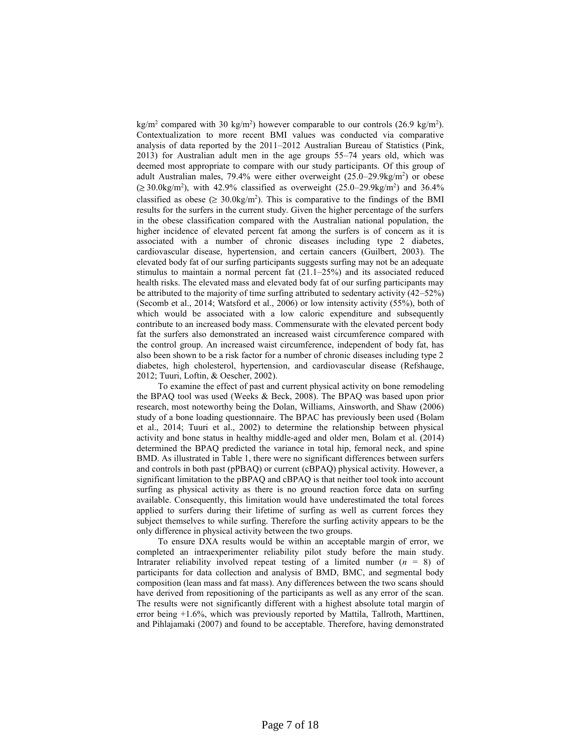kg/m<sup>2</sup> compared with 30 kg/m<sup>2</sup>) however comparable to our controls (26.9 kg/m<sup>2</sup>). Contextualization to more recent BMI values was conducted via comparative analysis of data reported by the 2011–2012 Australian Bureau of Statistics (Pink, 2013) for Australian adult men in the age groups 55–74 years old, which was deemed most appropriate to compare with our study participants. Of this group of adult Australian males, 79.4% were either overweight (25.0–29.9kg/m<sup>2</sup> ) or obese  $(\geq 30.0 \text{kg/m}^2)$ , with 42.9% classified as overweight  $(25.0-29.9 \text{kg/m}^2)$  and 36.4% classified as obese ( $\geq 30.0$ kg/m<sup>2</sup>). This is comparative to the findings of the BMI results for the surfers in the current study. Given the higher percentage of the surfers in the obese classification compared with the Australian national population, the higher incidence of elevated percent fat among the surfers is of concern as it is associated with a number of chronic diseases including type 2 diabetes, cardiovascular disease, hypertension, and certain cancers (Guilbert, 2003). The elevated body fat of our surfing participants suggests surfing may not be an adequate stimulus to maintain a normal percent fat  $(21.1–25%)$  and its associated reduced health risks. The elevated mass and elevated body fat of our surfing participants may be attributed to the majority of time surfing attributed to sedentary activity (42–52%) (Secomb et al., 2014; Watsford et al., 2006) or low intensity activity (55%), both of which would be associated with a low caloric expenditure and subsequently contribute to an increased body mass. Commensurate with the elevated percent body fat the surfers also demonstrated an increased waist circumference compared with the control group. An increased waist circumference, independent of body fat, has also been shown to be a risk factor for a number of chronic diseases including type 2 diabetes, high cholesterol, hypertension, and cardiovascular disease (Refshauge, 2012; Tuuri, Loftin, & Oescher, 2002).

To examine the effect of past and current physical activity on bone remodeling the BPAQ tool was used (Weeks & Beck, 2008). The BPAQ was based upon prior research, most noteworthy being the Dolan, Williams, Ainsworth, and Shaw (2006) study of a bone loading questionnaire. The BPAC has previously been used (Bolam et al., 2014; Tuuri et al., 2002) to determine the relationship between physical activity and bone status in healthy middle-aged and older men, Bolam et al. (2014) determined the BPAQ predicted the variance in total hip, femoral neck, and spine BMD. As illustrated in Table 1, there were no significant differences between surfers and controls in both past (pPBAQ) or current (cBPAQ) physical activity. However, a significant limitation to the pBPAQ and cBPAQ is that neither tool took into account surfing as physical activity as there is no ground reaction force data on surfing available. Consequently, this limitation would have underestimated the total forces applied to surfers during their lifetime of surfing as well as current forces they subject themselves to while surfing. Therefore the surfing activity appears to be the only difference in physical activity between the two groups.

To ensure DXA results would be within an acceptable margin of error, we completed an intraexperimenter reliability pilot study before the main study. Intrarater reliability involved repeat testing of a limited number  $(n = 8)$  of participants for data collection and analysis of BMD, BMC, and segmental body composition (lean mass and fat mass). Any differences between the two scans should have derived from repositioning of the participants as well as any error of the scan. The results were not significantly different with a highest absolute total margin of error being +1.6%, which was previously reported by Mattila, Tallroth, Marttinen, and Pihlajamaki (2007) and found to be acceptable. Therefore, having demonstrated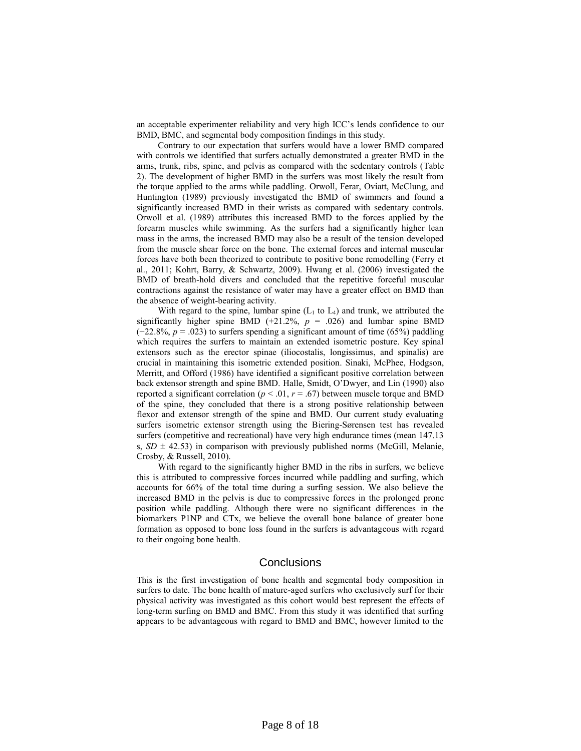an acceptable experimenter reliability and very high ICC's lends confidence to our BMD, BMC, and segmental body composition findings in this study.

Contrary to our expectation that surfers would have a lower BMD compared with controls we identified that surfers actually demonstrated a greater BMD in the arms, trunk, ribs, spine, and pelvis as compared with the sedentary controls (Table 2). The development of higher BMD in the surfers was most likely the result from the torque applied to the arms while paddling. Orwoll, Ferar, Oviatt, McClung, and Huntington (1989) previously investigated the BMD of swimmers and found a significantly increased BMD in their wrists as compared with sedentary controls. Orwoll et al. (1989) attributes this increased BMD to the forces applied by the forearm muscles while swimming. As the surfers had a significantly higher lean mass in the arms, the increased BMD may also be a result of the tension developed from the muscle shear force on the bone. The external forces and internal muscular forces have both been theorized to contribute to positive bone remodelling (Ferry et al., 2011; Kohrt, Barry, & Schwartz, 2009). Hwang et al. (2006) investigated the BMD of breath-hold divers and concluded that the repetitive forceful muscular contractions against the resistance of water may have a greater effect on BMD than the absence of weight-bearing activity.

With regard to the spine, lumbar spine  $(L_1 \text{ to } L_4)$  and trunk, we attributed the significantly higher spine BMD (+21.2%,  $p = .026$ ) and lumbar spine BMD  $(+22.8\%, p = .023)$  to surfers spending a significant amount of time (65%) paddling which requires the surfers to maintain an extended isometric posture. Key spinal extensors such as the erector spinae (iliocostalis, longissimus, and spinalis) are crucial in maintaining this isometric extended position. Sinaki, McPhee, Hodgson, Merritt, and Offord (1986) have identified a significant positive correlation between back extensor strength and spine BMD. Halle, Smidt, O'Dwyer, and Lin (1990) also reported a significant correlation ( $p < .01$ ,  $r = .67$ ) between muscle torque and BMD of the spine, they concluded that there is a strong positive relationship between flexor and extensor strength of the spine and BMD. Our current study evaluating surfers isometric extensor strength using the Biering-Sørensen test has revealed surfers (competitive and recreational) have very high endurance times (mean 147.13 s,  $SD \pm 42.53$ ) in comparison with previously published norms (McGill, Melanie, Crosby, & Russell, 2010).

With regard to the significantly higher BMD in the ribs in surfers, we believe this is attributed to compressive forces incurred while paddling and surfing, which accounts for 66% of the total time during a surfing session. We also believe the increased BMD in the pelvis is due to compressive forces in the prolonged prone position while paddling. Although there were no significant differences in the biomarkers P1NP and CTx, we believe the overall bone balance of greater bone formation as opposed to bone loss found in the surfers is advantageous with regard to their ongoing bone health.

# **Conclusions**

This is the first investigation of bone health and segmental body composition in surfers to date. The bone health of mature-aged surfers who exclusively surf for their physical activity was investigated as this cohort would best represent the effects of long-term surfing on BMD and BMC. From this study it was identified that surfing appears to be advantageous with regard to BMD and BMC, however limited to the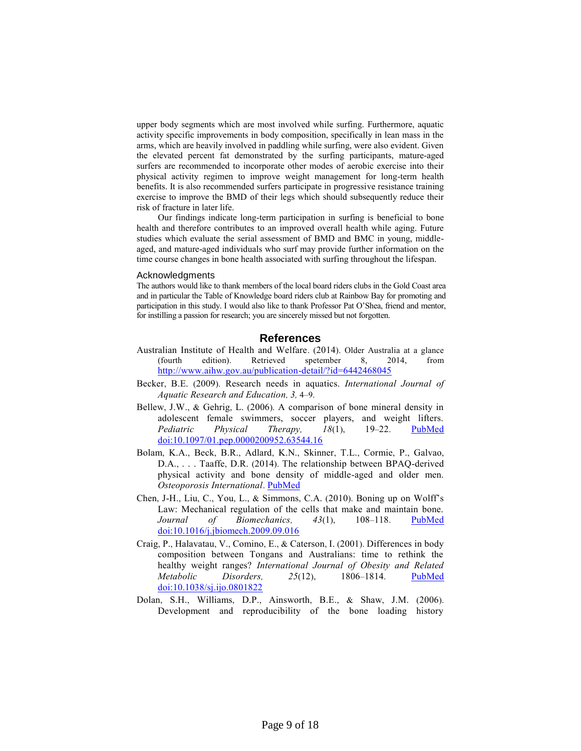upper body segments which are most involved while surfing. Furthermore, aquatic activity specific improvements in body composition, specifically in lean mass in the arms, which are heavily involved in paddling while surfing, were also evident. Given the elevated percent fat demonstrated by the surfing participants, mature-aged surfers are recommended to incorporate other modes of aerobic exercise into their physical activity regimen to improve weight management for long-term health benefits. It is also recommended surfers participate in progressive resistance training exercise to improve the BMD of their legs which should subsequently reduce their risk of fracture in later life.

Our findings indicate long-term participation in surfing is beneficial to bone health and therefore contributes to an improved overall health while aging. Future studies which evaluate the serial assessment of BMD and BMC in young, middleaged, and mature-aged individuals who surf may provide further information on the time course changes in bone health associated with surfing throughout the lifespan.

#### Acknowledgments

The authors would like to thank members of the local board riders clubs in the Gold Coast area and in particular the Table of Knowledge board riders club at Rainbow Bay for promoting and participation in this study. I would also like to thank Professor Pat O'Shea, friend and mentor, for instilling a passion for research; you are sincerely missed but not forgotten.

## **References**

- Australian Institute of Health and Welfare. (2014). Older Australia at a glance (fourth edition). Retrieved spetember 8, 2014, from <http://www.aihw.gov.au/publication-detail/?id=6442468045>
- Becker, B.E. (2009). Research needs in aquatics. *International Journal of Aquatic Research and Education, 3,* 4–9.
- Bellew, J.W., & Gehrig, L. (2006). A comparison of bone mineral density in adolescent female swimmers, soccer players, and weight lifters. *Pediatric Physical Therapy, 18*(1), 19–22. [PubMed](http://www.ncbi.nlm.nih.gov/entrez/query.fcgi?cmd=Retrieve&db=PubMed&list_uids=16508530&dopt=Abstract) [doi:10.1097/01.pep.0000200952.63544.16](http://dx.doi.org/10.1097/01.pep.0000200952.63544.16)
- Bolam, K.A., Beck, B.R., Adlard, K.N., Skinner, T.L., Cormie, P., Galvao, D.A., . . . Taaffe, D.R. (2014). The relationship between BPAQ-derived physical activity and bone density of middle-aged and older men. *Osteoporosis International*. [PubMed](http://www.ncbi.nlm.nih.gov/entrez/query.fcgi?cmd=Retrieve&db=PubMed&list_uids=24993816&dopt=Abstract)
- Chen, J-H., Liu, C., You, L., & Simmons, C.A. (2010). Boning up on Wolff's Law: Mechanical regulation of the cells that make and maintain bone. *Journal of Biomechanics, 43*(1), 108–118. [PubMed](http://www.ncbi.nlm.nih.gov/entrez/query.fcgi?cmd=Retrieve&db=PubMed&list_uids=19818443&dopt=Abstract) [doi:10.1016/j.jbiomech.2009.09.016](http://dx.doi.org/10.1016/j.jbiomech.2009.09.016)
- Craig, P., Halavatau, V., Comino, E., & Caterson, I. (2001). Differences in body composition between Tongans and Australians: time to rethink the healthy weight ranges? *International Journal of Obesity and Related Metabolic Disorders, 25*(12), 1806–1814. [PubMed](http://www.ncbi.nlm.nih.gov/entrez/query.fcgi?cmd=Retrieve&db=PubMed&list_uids=11781762&dopt=Abstract) [doi:10.1038/sj.ijo.0801822](http://dx.doi.org/10.1038/sj.ijo.0801822)
- Dolan, S.H., Williams, D.P., Ainsworth, B.E., & Shaw, J.M. (2006). Development and reproducibility of the bone loading history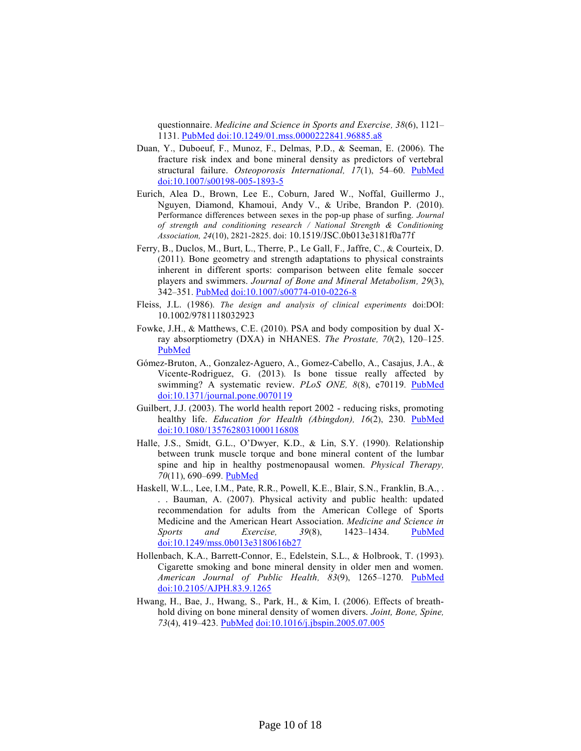questionnaire. *Medicine and Science in Sports and Exercise, 38*(6), 1121– 1131. [PubMed](http://www.ncbi.nlm.nih.gov/entrez/query.fcgi?cmd=Retrieve&db=PubMed&list_uids=16775555&dopt=Abstract) [doi:10.1249/01.mss.0000222841.96885.a8](http://dx.doi.org/10.1249/01.mss.0000222841.96885.a8)

- Duan, Y., Duboeuf, F., Munoz, F., Delmas, P.D., & Seeman, E. (2006). The fracture risk index and bone mineral density as predictors of vertebral structural failure. *Osteoporosis International, 17*(1), 54–60. [PubMed](http://www.ncbi.nlm.nih.gov/entrez/query.fcgi?cmd=Retrieve&db=PubMed&list_uids=16021527&dopt=Abstract) [doi:10.1007/s00198-005-1893-5](http://dx.doi.org/10.1007/s00198-005-1893-5)
- Eurich, Alea D., Brown, Lee E., Coburn, Jared W., Noffal, Guillermo J., Nguyen, Diamond, Khamoui, Andy V., & Uribe, Brandon P. (2010). Performance differences between sexes in the pop-up phase of surfing. *Journal of strength and conditioning research / National Strength & Conditioning Association, 24*(10), 2821-2825. doi: 10.1519/JSC.0b013e3181f0a77f
- Ferry, B., Duclos, M., Burt, L., Therre, P., Le Gall, F., Jaffre, C., & Courteix, D. (2011). Bone geometry and strength adaptations to physical constraints inherent in different sports: comparison between elite female soccer players and swimmers. *Journal of Bone and Mineral Metabolism, 29*(3), 342–351. [PubMed](http://www.ncbi.nlm.nih.gov/entrez/query.fcgi?cmd=Retrieve&db=PubMed&list_uids=20963459&dopt=Abstract) [doi:10.1007/s00774-010-0226-8](http://dx.doi.org/10.1007/s00774-010-0226-8)
- Fleiss, J.L. (1986). *The design and analysis of clinical experiments* doi:DOI: 10.1002/9781118032923
- Fowke, J.H., & Matthews, C.E. (2010). PSA and body composition by dual Xray absorptiometry (DXA) in NHANES. *The Prostate, 70*(2), 120–125[.](http://www.ncbi.nlm.nih.gov/entrez/query.fcgi?cmd=Retrieve&db=PubMed&list_uids=19739130&dopt=Abstract) [PubMed](http://www.ncbi.nlm.nih.gov/entrez/query.fcgi?cmd=Retrieve&db=PubMed&list_uids=19739130&dopt=Abstract)
- Gómez-Bruton, A., Gonzalez-Aguero, A., Gomez-Cabello, A., Casajus, J.A., & Vicente-Rodriguez, G. (2013). Is bone tissue really affected by swimming? A systematic review. *PLoS ONE, 8*(8), e70119. [PubMed](http://www.ncbi.nlm.nih.gov/entrez/query.fcgi?cmd=Retrieve&db=PubMed&list_uids=23950908&dopt=Abstract) [doi:10.1371/journal.pone.0070119](http://dx.doi.org/10.1371/journal.pone.0070119)
- Guilbert, J.J. (2003). The world health report 2002 reducing risks, promoting healthy life. *Education for Health (Abingdon), 16*(2), 230. [PubMed](http://www.ncbi.nlm.nih.gov/entrez/query.fcgi?cmd=Retrieve&db=PubMed&list_uids=14741909&dopt=Abstract) [doi:10.1080/1357628031000116808](http://dx.doi.org/10.1080/1357628031000116808)
- Halle, J.S., Smidt, G.L., O'Dwyer, K.D., & Lin, S.Y. (1990). Relationship between trunk muscle torque and bone mineral content of the lumbar spine and hip in healthy postmenopausal women. *Physical Therapy, 70*(11), 690–699. [PubMed](http://www.ncbi.nlm.nih.gov/entrez/query.fcgi?cmd=Retrieve&db=PubMed&list_uids=2236212&dopt=Abstract)
- Haskell, W.L., Lee, I.M., Pate, R.R., Powell, K.E., Blair, S.N., Franklin, B.A., . . . Bauman, A. (2007). Physical activity and public health: updated recommendation for adults from the American College of Sports Medicine and the American Heart Association. *Medicine and Science in Sports and Exercise, 39*(8), 1423–1434. [PubMed](http://www.ncbi.nlm.nih.gov/entrez/query.fcgi?cmd=Retrieve&db=PubMed&list_uids=17762377&dopt=Abstract) [doi:10.1249/mss.0b013e3180616b27](http://dx.doi.org/10.1249/mss.0b013e3180616b27)
- Hollenbach, K.A., Barrett-Connor, E., Edelstein, S.L., & Holbrook, T. (1993). Cigarette smoking and bone mineral density in older men and women. *American Journal of Public Health, 83*(9), 1265–1270. [PubMed](http://www.ncbi.nlm.nih.gov/entrez/query.fcgi?cmd=Retrieve&db=PubMed&list_uids=8363002&dopt=Abstract) [doi:10.2105/AJPH.83.9.1265](http://dx.doi.org/10.2105/AJPH.83.9.1265)
- Hwang, H., Bae, J., Hwang, S., Park, H., & Kim, I. (2006). Effects of breathhold diving on bone mineral density of women divers. *Joint, Bone, Spine, 73*(4), 419–423. [PubMed](http://www.ncbi.nlm.nih.gov/entrez/query.fcgi?cmd=Retrieve&db=PubMed&list_uids=16626996&dopt=Abstract) [doi:10.1016/j.jbspin.2005.07.005](http://dx.doi.org/10.1016/j.jbspin.2005.07.005)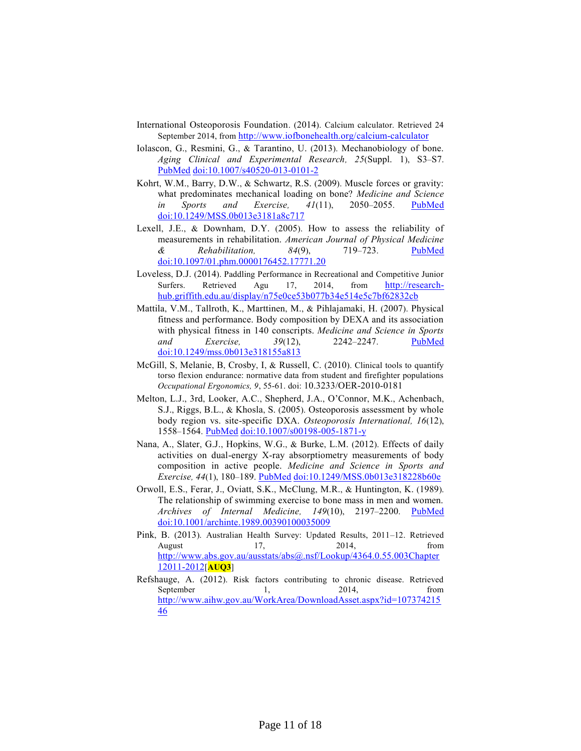- International Osteoporosis Foundation. (2014). Calcium calculator. Retrieved 24 September 2014, from <http://www.iofbonehealth.org/calcium-calculator>
- Iolascon, G., Resmini, G., & Tarantino, U. (2013). Mechanobiology of bone. *Aging Clinical and Experimental Research, 25*(Suppl. 1), S3–S7[.](http://www.ncbi.nlm.nih.gov/entrez/query.fcgi?cmd=Retrieve&db=PubMed&list_uids=24046028&dopt=Abstract) [PubMed](http://www.ncbi.nlm.nih.gov/entrez/query.fcgi?cmd=Retrieve&db=PubMed&list_uids=24046028&dopt=Abstract) [doi:10.1007/s40520-013-0101-2](http://dx.doi.org/10.1007/s40520-013-0101-2)
- Kohrt, W.M., Barry, D.W., & Schwartz, R.S. (2009). Muscle forces or gravity: what predominates mechanical loading on bone? *Medicine and Science in Sports and Exercise, 41*(11), 2050–2055. [PubMed](http://www.ncbi.nlm.nih.gov/entrez/query.fcgi?cmd=Retrieve&db=PubMed&list_uids=19812511&dopt=Abstract) [doi:10.1249/MSS.0b013e3181a8c717](http://dx.doi.org/10.1249/MSS.0b013e3181a8c717)
- Lexell, J.E., & Downham, D.Y. (2005). How to assess the reliability of measurements in rehabilitation. *American Journal of Physical Medicine & Rehabilitation, 84*(9), 719–723. [PubMed](http://www.ncbi.nlm.nih.gov/entrez/query.fcgi?cmd=Retrieve&db=PubMed&list_uids=16141752&dopt=Abstract) [doi:10.1097/01.phm.0000176452.17771.20](http://dx.doi.org/10.1097/01.phm.0000176452.17771.20)
- Loveless, D.J. (2014). Paddling Performance in Recreational and Competitive Junior Surfers. Retrieved Agu 17, 2014, from [http://research](http://research-hub.griffith.edu.au/display/n75e0ce53b077b34e514e5c7bf62832cb)[hub.griffith.edu.au/display/n75e0ce53b077b34e514e5c7bf62832cb](http://research-hub.griffith.edu.au/display/n75e0ce53b077b34e514e5c7bf62832cb)
- Mattila, V.M., Tallroth, K., Marttinen, M., & Pihlajamaki, H. (2007). Physical fitness and performance. Body composition by DEXA and its association with physical fitness in 140 conscripts. *Medicine and Science in Sports and Exercise, 39*(12), 2242–2247. [PubMed](http://www.ncbi.nlm.nih.gov/entrez/query.fcgi?cmd=Retrieve&db=PubMed&list_uids=18046197&dopt=Abstract) [doi:10.1249/mss.0b013e318155a813](http://dx.doi.org/10.1249/mss.0b013e318155a813)
- McGill, S, Melanie, B, Crosby, I, & Russell, C. (2010). Clinical tools to quantify torso flexion endurance: normative data from student and firefighter populations *Occupational Ergonomics, 9*, 55-61. doi: 10.3233/OER-2010-0181
- Melton, L.J., 3rd, Looker, A.C., Shepherd, J.A., O'Connor, M.K., Achenbach, S.J., Riggs, B.L., & Khosla, S. (2005). Osteoporosis assessment by whole body region vs. site-specific DXA. *Osteoporosis International, 16*(12), 1558–1564. [PubMed](http://www.ncbi.nlm.nih.gov/entrez/query.fcgi?cmd=Retrieve&db=PubMed&list_uids=15812599&dopt=Abstract) [doi:10.1007/s00198-005-1871-y](http://dx.doi.org/10.1007/s00198-005-1871-y)
- Nana, A., Slater, G.J., Hopkins, W.G., & Burke, L.M. (2012). Effects of daily activities on dual-energy X-ray absorptiometry measurements of body composition in active people. *Medicine and Science in Sports and Exercise, 44*(1), 180–189. [PubMed](http://www.ncbi.nlm.nih.gov/entrez/query.fcgi?cmd=Retrieve&db=PubMed&list_uids=22179140&dopt=Abstract) [doi:10.1249/MSS.0b013e318228b60e](http://dx.doi.org/10.1249/MSS.0b013e318228b60e)
- Orwoll, E.S., Ferar, J., Oviatt, S.K., McClung, M.R., & Huntington, K. (1989). The relationship of swimming exercise to bone mass in men and women. *Archives of Internal Medicine, 149*(10), 2197–2200. [PubMed](http://www.ncbi.nlm.nih.gov/entrez/query.fcgi?cmd=Retrieve&db=PubMed&list_uids=2802886&dopt=Abstract) [doi:10.1001/archinte.1989.00390100035009](http://dx.doi.org/10.1001/archinte.1989.00390100035009)
- Pink, B. (2013). Australian Health Survey: Updated Results, 2011–12. Retrieved August 17, 2014, from [http://www.abs.gov.au/ausstats/abs@.nsf/Lookup/4364.0.55.003Chapter](http://www.abs.gov.au/ausstats/abs@.nsf/Lookup/4364.0.55.003Chapter12011-2012) [12011-2012](http://www.abs.gov.au/ausstats/abs@.nsf/Lookup/4364.0.55.003Chapter12011-2012)[**AUQ3**]
- Refshauge, A. (2012). Risk factors contributing to chronic disease. Retrieved September 1, 2014, from [http://www.aihw.gov.au/WorkArea/DownloadAsset.aspx?id=107374215](http://www.aihw.gov.au/WorkArea/DownloadAsset.aspx?id=10737421546) [46](http://www.aihw.gov.au/WorkArea/DownloadAsset.aspx?id=10737421546)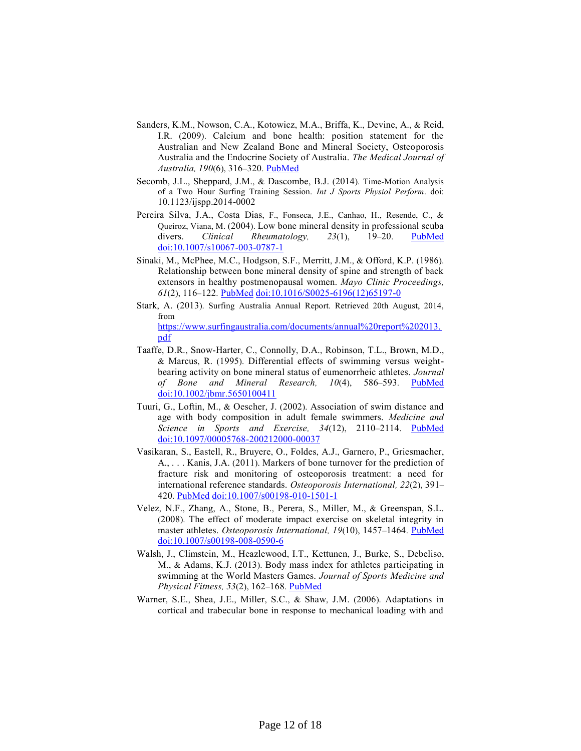- Sanders, K.M., Nowson, C.A., Kotowicz, M.A., Briffa, K., Devine, A., & Reid, I.R. (2009). Calcium and bone health: position statement for the Australian and New Zealand Bone and Mineral Society, Osteoporosis Australia and the Endocrine Society of Australia. *The Medical Journal of Australia, 190*(6), 316–320. [PubMed](http://www.ncbi.nlm.nih.gov/entrez/query.fcgi?cmd=Retrieve&db=PubMed&list_uids=19296813&dopt=Abstract)
- Secomb, J.L., Sheppard, J.M., & Dascombe, B.J. (2014). Time-Motion Analysis of a Two Hour Surfing Training Session. *Int J Sports Physiol Perform*. doi: 10.1123/ijspp.2014-0002
- Pereira Silva, J.A., Costa Dias, F., Fonseca, J.E., Canhao, H., Resende, C., & Queiroz, Viana, M. (2004). Low bone mineral density in professional scuba divers. *Clinical Rheumatology, 23*(1), 19–20. [PubMed](http://www.ncbi.nlm.nih.gov/entrez/query.fcgi?cmd=Retrieve&db=PubMed&list_uids=14749976&dopt=Abstract) [doi:10.1007/s10067-003-0787-1](http://dx.doi.org/10.1007/s10067-003-0787-1)
- Sinaki, M., McPhee, M.C., Hodgson, S.F., Merritt, J.M., & Offord, K.P. (1986). Relationship between bone mineral density of spine and strength of back extensors in healthy postmenopausal women. *Mayo Clinic Proceedings, 61*(2), 116–122. [PubMed](http://www.ncbi.nlm.nih.gov/entrez/query.fcgi?cmd=Retrieve&db=PubMed&list_uids=3945109&dopt=Abstract) [doi:10.1016/S0025-6196\(12\)65197-0](http://dx.doi.org/10.1016/S0025-6196(12)65197-0)
- Stark, A. (2013). Surfing Australia Annual Report. Retrieved 20th August, 2014, from

[https://www.surfingaustralia.com/documents/annual%20report%202013.](https://www.surfingaustralia.com/documents/annual%20report%202013.pdf) [pdf](https://www.surfingaustralia.com/documents/annual%20report%202013.pdf)

- Taaffe, D.R., Snow-Harter, C., Connolly, D.A., Robinson, T.L., Brown, M.D., & Marcus, R. (1995). Differential effects of swimming versus weightbearing activity on bone mineral status of eumenorrheic athletes. *Journal of Bone and Mineral Research, 10*(4), 586–593. [PubMed](http://www.ncbi.nlm.nih.gov/entrez/query.fcgi?cmd=Retrieve&db=PubMed&list_uids=7610929&dopt=Abstract) [doi:10.1002/jbmr.5650100411](http://dx.doi.org/10.1002/jbmr.5650100411)
- Tuuri, G., Loftin, M., & Oescher, J. (2002). Association of swim distance and age with body composition in adult female swimmers. *Medicine and Science in Sports and Exercise, 34*(12), 2110–2114. [PubMed](http://www.ncbi.nlm.nih.gov/entrez/query.fcgi?cmd=Retrieve&db=PubMed&list_uids=12471324&dopt=Abstract) [doi:10.1097/00005768-200212000-00037](http://dx.doi.org/10.1097/00005768-200212000-00037)
- Vasikaran, S., Eastell, R., Bruyere, O., Foldes, A.J., Garnero, P., Griesmacher, A., . . . Kanis, J.A. (2011). Markers of bone turnover for the prediction of fracture risk and monitoring of osteoporosis treatment: a need for international reference standards. *Osteoporosis International, 22*(2), 391– 420. [PubMed](http://www.ncbi.nlm.nih.gov/entrez/query.fcgi?cmd=Retrieve&db=PubMed&list_uids=21184054&dopt=Abstract) [doi:10.1007/s00198-010-1501-1](http://dx.doi.org/10.1007/s00198-010-1501-1)
- Velez, N.F., Zhang, A., Stone, B., Perera, S., Miller, M., & Greenspan, S.L. (2008). The effect of moderate impact exercise on skeletal integrity in master athletes. *Osteoporosis International, 19*(10), 1457–1464. [PubMed](http://www.ncbi.nlm.nih.gov/entrez/query.fcgi?cmd=Retrieve&db=PubMed&list_uids=18351426&dopt=Abstract) [doi:10.1007/s00198-008-0590-6](http://dx.doi.org/10.1007/s00198-008-0590-6)
- Walsh, J., Climstein, M., Heazlewood, I.T., Kettunen, J., Burke, S., Debeliso, M., & Adams, K.J. (2013). Body mass index for athletes participating in swimming at the World Masters Games. *Journal of Sports Medicine and Physical Fitness, 53*(2), 162–168. [PubMed](http://www.ncbi.nlm.nih.gov/entrez/query.fcgi?cmd=Retrieve&db=PubMed&list_uids=23584323&dopt=Abstract)
- Warner, S.E., Shea, J.E., Miller, S.C., & Shaw, J.M. (2006). Adaptations in cortical and trabecular bone in response to mechanical loading with and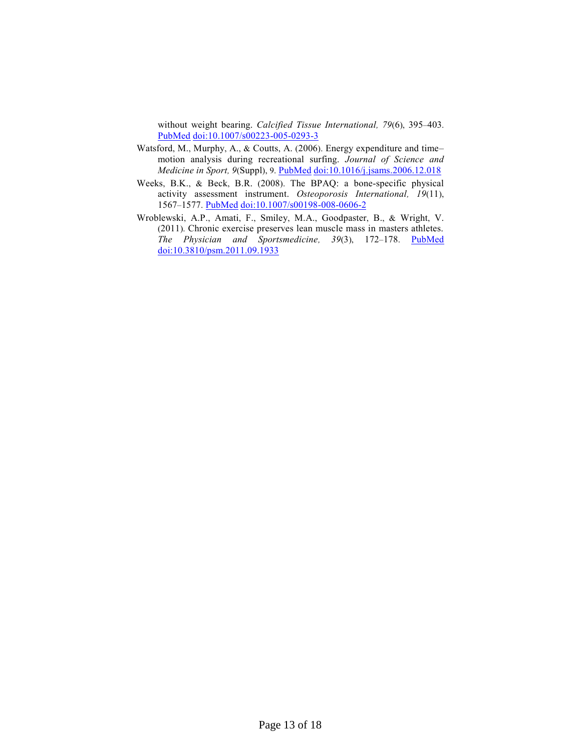without weight bearing. *Calcified Tissue International, 79*(6), 395–403[.](http://www.ncbi.nlm.nih.gov/entrez/query.fcgi?cmd=Retrieve&db=PubMed&list_uids=17164974&dopt=Abstract) [PubMed](http://www.ncbi.nlm.nih.gov/entrez/query.fcgi?cmd=Retrieve&db=PubMed&list_uids=17164974&dopt=Abstract) [doi:10.1007/s00223-005-0293-3](http://dx.doi.org/10.1007/s00223-005-0293-3)

- Watsford, M., Murphy, A., & Coutts, A. (2006). Energy expenditure and time– motion analysis during recreational surfing. *Journal of Science and Medicine in Sport, 9*(Suppl), 9. [PubMed](http://www.ncbi.nlm.nih.gov/entrez/query.fcgi?cmd=Retrieve&db=PubMed&list_uids=17182281&dopt=Abstract) [doi:10.1016/j.jsams.2006.12.018](http://dx.doi.org/10.1016/j.jsams.2006.12.018)
- Weeks, B.K., & Beck, B.R. (2008). The BPAQ: a bone-specific physical activity assessment instrument. *Osteoporosis International, 19*(11), 1567–1577. [PubMed](http://www.ncbi.nlm.nih.gov/entrez/query.fcgi?cmd=Retrieve&db=PubMed&list_uids=18414964&dopt=Abstract) [doi:10.1007/s00198-008-0606-2](http://dx.doi.org/10.1007/s00198-008-0606-2)
- Wroblewski, A.P., Amati, F., Smiley, M.A., Goodpaster, B., & Wright, V. (2011). Chronic exercise preserves lean muscle mass in masters athletes. *The Physician and Sportsmedicine, 39*(3), 172–178. [PubMed](http://www.ncbi.nlm.nih.gov/entrez/query.fcgi?cmd=Retrieve&db=PubMed&list_uids=22030953&dopt=Abstract) [doi:10.3810/psm.2011.09.1933](http://dx.doi.org/10.3810/psm.2011.09.1933)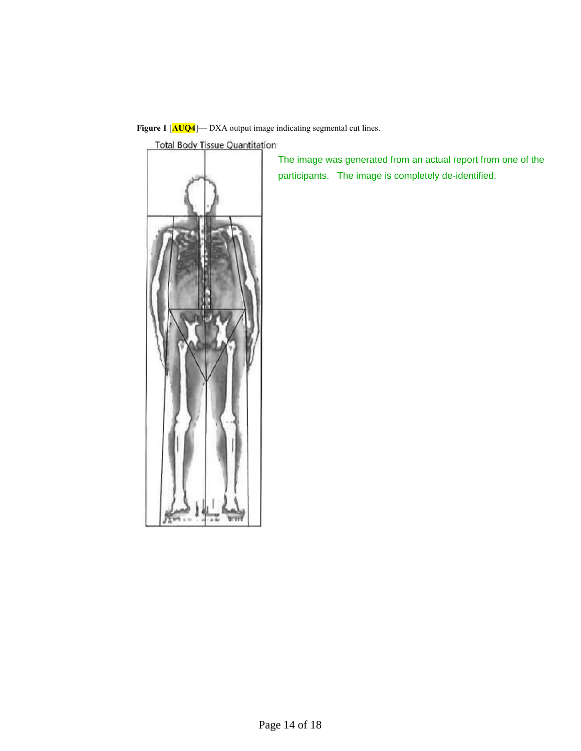**Figure 1** [**AUQ4**]— DXA output image indicating segmental cut lines.

**Total Body Tissue Quantitation** 



The image was generated from an actual report from one of the participants. The image is completely de-identified.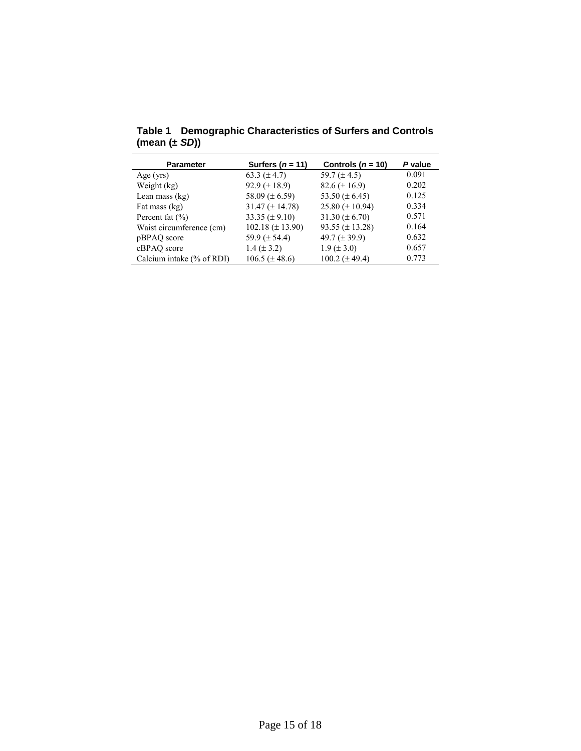| <b>Parameter</b>          | Surfers $(n = 11)$     | Controls ( $n = 10$ ) | P value |
|---------------------------|------------------------|-----------------------|---------|
| Age $(yrs)$               | 63.3 $(\pm 4.7)$       | 59.7 $(\pm 4.5)$      | 0.091   |
| Weight (kg)               | 92.9 $(\pm 18.9)$      | $82.6 (\pm 16.9)$     | 0.202   |
| Lean mass $(kg)$          | 58.09 ( $\pm$ 6.59)    | 53.50 ( $\pm$ 6.45)   | 0.125   |
| Fat mass (kg)             | $31.47 \ (\pm 14.78)$  | 25.80 ( $\pm$ 10.94)  | 0.334   |
| Percent fat $(\% )$       | 33.35 ( $\pm$ 9.10)    | 31.30 ( $\pm$ 6.70)   | 0.571   |
| Waist circumference (cm)  | $102.18 \ (\pm 13.90)$ | 93.55 ( $\pm$ 13.28)  | 0.164   |
| pBPAQ score               | 59.9 $(\pm 54.4)$      | 49.7 $(\pm 39.9)$     | 0.632   |
| cBPAQ score               | $1.4 (\pm 3.2)$        | $1.9 (\pm 3.0)$       | 0.657   |
| Calcium intake (% of RDI) | $106.5 (\pm 48.6)$     | $100.2 (\pm 49.4)$    | 0.773   |

**Table 1 Demographic Characteristics of Surfers and Controls (mean (±** *SD***))**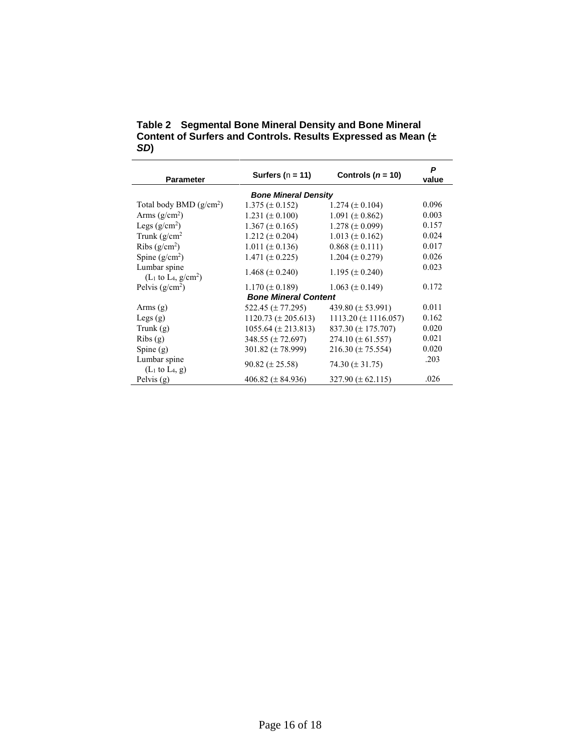**Table 2 Segmental Bone Mineral Density and Bone Mineral Content of Surfers and Controls. Results Expressed as Mean (±**  *SD***)**

| <b>Parameter</b>                                        | Surfers ( $n = 11$ )      | Controls $(n = 10)$        | P<br>value |  |  |
|---------------------------------------------------------|---------------------------|----------------------------|------------|--|--|
| <b>Bone Mineral Density</b>                             |                           |                            |            |  |  |
| Total body BMD $(g/cm^2)$                               | $1.375 \ (\pm 0.152)$     | $1.274 \ (\pm 0.104)$      | 0.096      |  |  |
| Arms $(g/cm2)$                                          | $1.231 (\pm 0.100)$       | $1.091 (\pm 0.862)$        | 0.003      |  |  |
| Legs $(g/cm2)$                                          | $1.367 \ (\pm 0.165)$     | $1.278 (\pm 0.099)$        | 0.157      |  |  |
| Trunk $(g/cm2)$                                         | $1.212 \ (\pm 0.204)$     | $1.013 \ (\pm 0.162)$      | 0.024      |  |  |
| Ribs $(g/cm2)$                                          | $1.011 (\pm 0.136)$       | $0.868 \ (\pm 0.111)$      | 0.017      |  |  |
| Spine $(g/cm2)$                                         | $1.471 (\pm 0.225)$       | $1.204 (\pm 0.279)$        | 0.026      |  |  |
| Lumbar spine<br>$(L_1 \text{ to } L_4, \text{ g/cm}^2)$ | 1.468 $(\pm 0.240)$       | $1.195 \ (\pm 0.240)$      | 0.023      |  |  |
| Pelvis $(g/cm2)$                                        | $1.170 (\pm 0.189)$       | $1.063 \ (\pm 0.149)$      | 0.172      |  |  |
| <b>Bone Mineral Content</b>                             |                           |                            |            |  |  |
| Arms $(g)$                                              | 522.45 (± 77.295)         | 439.80 $(\pm 53.991)$      | 0.011      |  |  |
| Legs $(g)$                                              | $1120.73 \ (\pm 205.613)$ | $1113.20 \ (\pm 1116.057)$ | 0.162      |  |  |
| Trunk $(g)$                                             | $1055.64 \ (\pm 213.813)$ | 837.30 $(\pm 175.707)$     | 0.020      |  |  |
| Ribs(g)                                                 | $348.55 (\pm 72.697)$     | $274.10 (\pm 61.557)$      | 0.021      |  |  |
| Spine $(g)$                                             | $301.82 \ (\pm 78.999)$   | $216.30 \ (\pm 75.554)$    | 0.020      |  |  |
| Lumbar spine<br>$(L1$ to L <sub>4</sub> , g)            | $90.82 \ (\pm 25.58)$     | 74.30 $(\pm 31.75)$        | .203       |  |  |
| Pelvis (g)                                              | 406.82 ( $\pm$ 84.936)    | $327.90 \ (\pm 62.115)$    | .026       |  |  |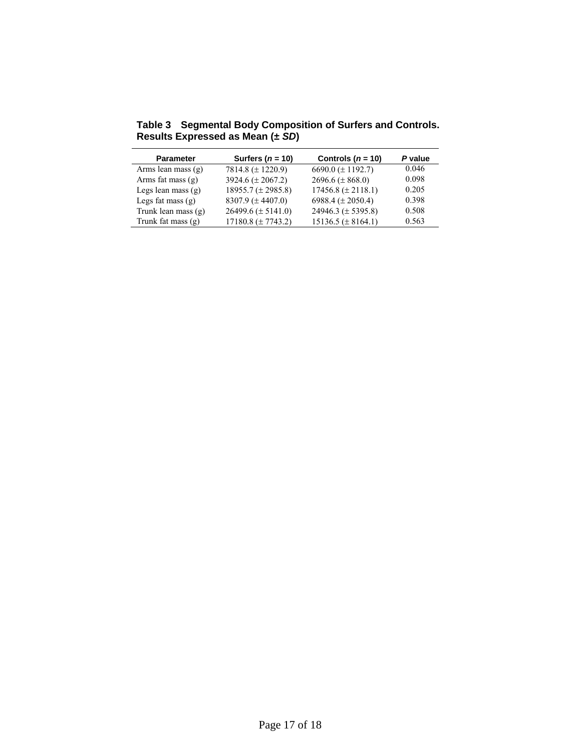| <b>Parameter</b>     | Surfers $(n = 10)$     | Controls ( $n = 10$ )   | P value |
|----------------------|------------------------|-------------------------|---------|
| Arms lean mass $(g)$ | 7814.8 $(\pm 1220.9)$  | 6690.0 ( $\pm$ 1192.7)  | 0.046   |
| Arms fat mass $(g)$  | 3924.6 ( $\pm$ 2067.2) | $2696.6 (\pm 868.0)$    | 0.098   |
| Legs lean mass $(g)$ | $18955.7 (\pm 2985.8)$ | $17456.8 (\pm 2118.1)$  | 0.205   |
| Legs fat mass $(g)$  | 8307.9 ( $\pm$ 4407.0) | 6988.4 ( $\pm$ 2050.4)  | 0.398   |
| Trunk lean mass (g)  | 26499.6 $(\pm 5141.0)$ | 24946.3 ( $\pm$ 5395.8) | 0.508   |
| Trunk fat mass $(g)$ | $17180.8 (\pm 7743.2)$ | $15136.5 (\pm 8164.1)$  | 0.563   |

**Table 3 Segmental Body Composition of Surfers and Controls. Results Expressed as Mean (±** *SD***)**